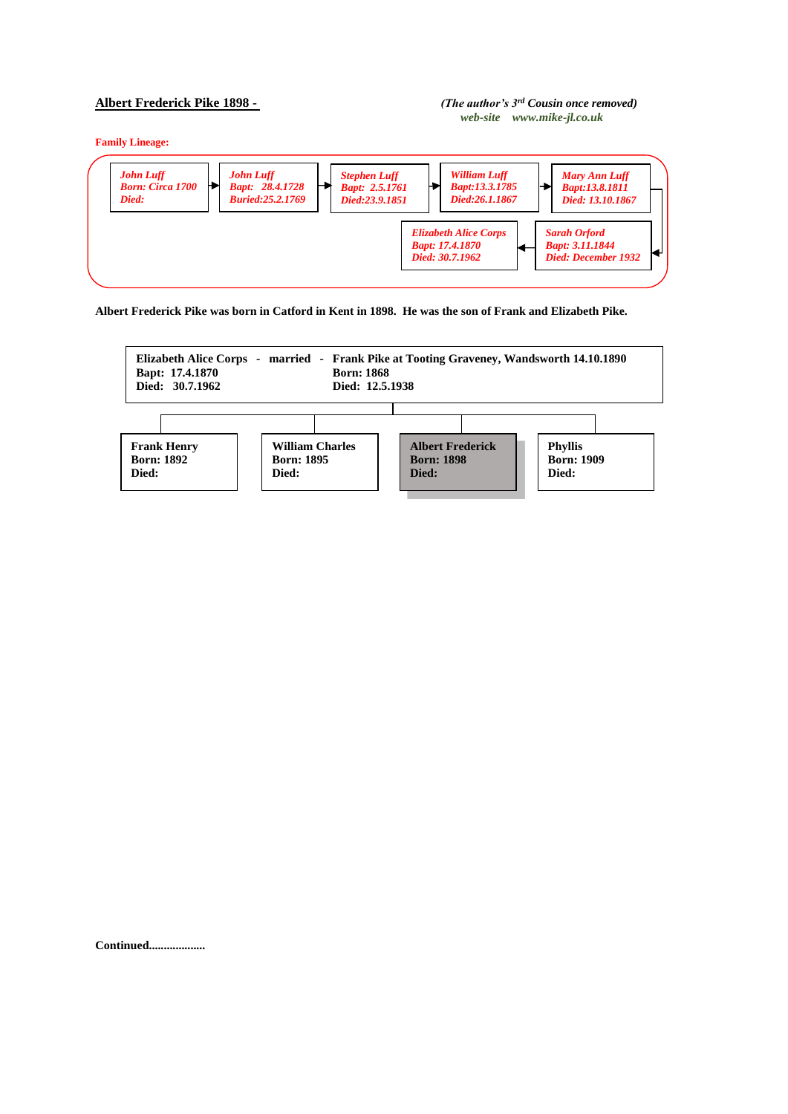## **Albert Frederick Pike 1898 -** *(The author's 3rd Cousin once removed)**web-site www.mike-jl.co.uk*

**Family Lineage:**



**Albert Frederick Pike was born in Catford in Kent in 1898. He was the son of Frank and Elizabeth Pike.**



**Continued...................**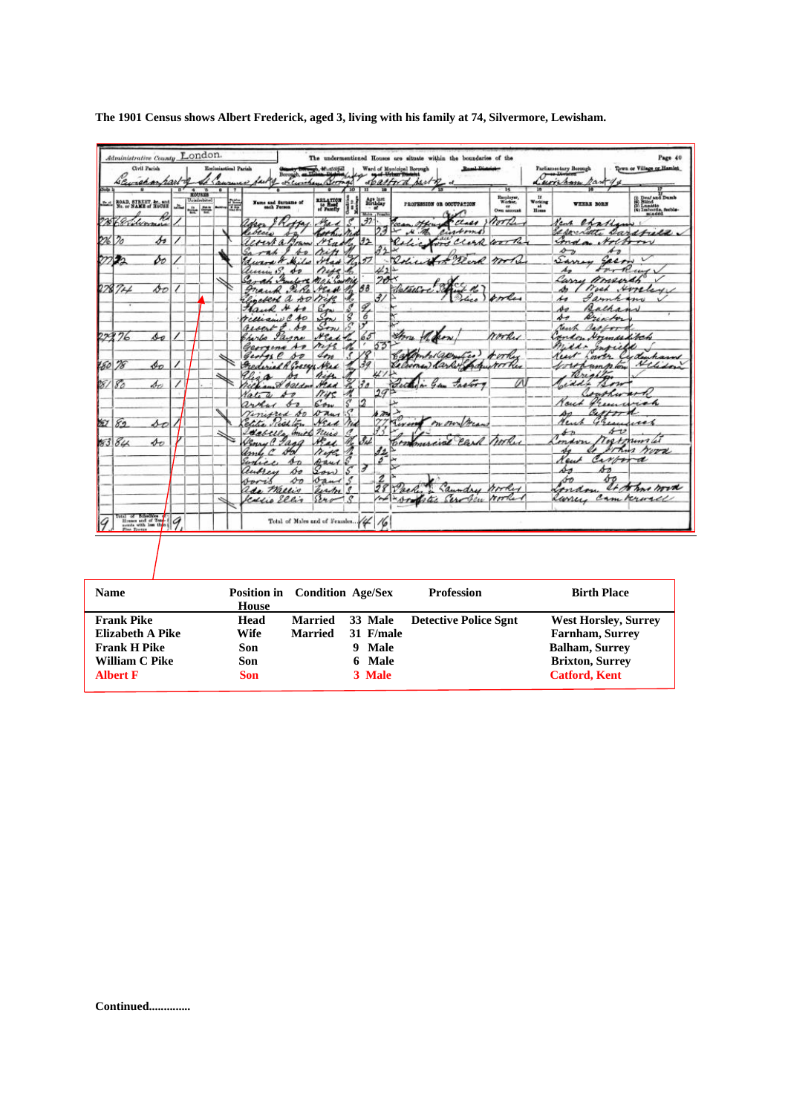| Sola I | Havenan rarto<br>τ                                                                                                                                                                                                                                                                                                                                                                                 | Civil Parish                |      |                              |   | <b>Ecclesiastical Parish</b><br>$\overline{a}$ |   | Borough, ex Historical<br>- oth Curiolay Berman<br>of Causus fait of |                                       | 10     | $\overline{\mathbf{u}}$ | 19                                                | <b>Road-District-</b><br>Ward of Municipal Rorough<br>spatford sant of<br>$F_{18}$ | 15                                     | 38                                                                                                                    | Parliamentary Becough<br>Lumham han               | Town or Village or Hamlet                                                         |
|--------|----------------------------------------------------------------------------------------------------------------------------------------------------------------------------------------------------------------------------------------------------------------------------------------------------------------------------------------------------------------------------------------------------|-----------------------------|------|------------------------------|---|------------------------------------------------|---|----------------------------------------------------------------------|---------------------------------------|--------|-------------------------|---------------------------------------------------|------------------------------------------------------------------------------------|----------------------------------------|-----------------------------------------------------------------------------------------------------------------------|---------------------------------------------------|-----------------------------------------------------------------------------------|
|        | ROAD, STREET, &c., and<br>No. or NAME of HOUSE                                                                                                                                                                                                                                                                                                                                                     |                             | خالد | ROUNDS<br>Uninisebitori<br>÷ | 쯮 |                                                | Ħ | Name and Surname of                                                  | RELATION                              | lð     |                         | $\frac{\Delta\mathcal{L}_1}{\Delta\mathcal{L}_2}$ | <b>PROFESSION OR OCCUPATION</b>                                                    | Encyloyer,<br>Worker,<br>$Omn$ account | $\begin{array}{c} \mathbf{U} \\ \mathbf{Working} \\ \mathbf{a} \\ \mathbf{B} \\ \mathbf{B} \\ \mathbf{B} \end{array}$ | WEERS BORN                                        | (i) Deaf and Dumb<br>(ii) Slind<br>(2) Lunatic<br>(4) Imboriis, feeble-<br>minded |
| 276    | 68 Vilverman                                                                                                                                                                                                                                                                                                                                                                                       |                             |      |                              |   |                                                |   | ottas.<br>den                                                        | $\mathscr{H}_{\mathbf{Z} \mathbf{Z}}$ |        | Males / Few<br>$-32$    |                                                   | Class Worth                                                                        |                                        |                                                                                                                       | chathan<br>Kent                                   |                                                                                   |
|        | 226 20                                                                                                                                                                                                                                                                                                                                                                                             | s                           |      |                              |   |                                                |   | lebecci<br>$+2$<br>outa                                              | book.<br>MEn.                         |        | 122                     | 23                                                | cintoms)<br>$\mathcal{N}$<br>st.c.<br>ford Clark work                              |                                        |                                                                                                                       | speciate sarafuld.<br>ind                         | Hothory                                                                           |
|        |                                                                                                                                                                                                                                                                                                                                                                                                    |                             |      |                              |   |                                                |   | Joann<br>Sa<br>40                                                    |                                       |        |                         |                                                   |                                                                                    |                                        |                                                                                                                       | $\overline{A_{D}}$<br>$\mathcal{L}_{\mathcal{D}}$ |                                                                                   |
|        | 22                                                                                                                                                                                                                                                                                                                                                                                                 | бо                          |      |                              |   |                                                |   |                                                                      |                                       |        | 17                      |                                                   | Beach morte                                                                        |                                        |                                                                                                                       | Same<br>Seem                                      | $\overline{\nu}$                                                                  |
|        |                                                                                                                                                                                                                                                                                                                                                                                                    |                             |      |                              |   |                                                |   | unin 5.                                                              | nise<br>Mah Santid                    |        |                         | 412<br>20                                         |                                                                                    |                                        |                                                                                                                       | s.<br>forking<br>Carry<br>mainth                  |                                                                                   |
| 78     | $7 +$                                                                                                                                                                                                                                                                                                                                                                                              | DО                          | ı    |                              |   |                                                |   |                                                                      |                                       |        | 33                      |                                                   | i n<br>Patricióre                                                                  |                                        |                                                                                                                       | Nord Horale<br>وهمد                               |                                                                                   |
|        | $\cdot$                                                                                                                                                                                                                                                                                                                                                                                            |                             |      |                              |   |                                                |   | enclerk a so rife                                                    |                                       |        |                         | $\mathcal{J}$                                     | ⊛<br>lico                                                                          | orles                                  |                                                                                                                       | s<br>annano                                       |                                                                                   |
|        |                                                                                                                                                                                                                                                                                                                                                                                                    |                             |      |                              |   |                                                |   | $\boldsymbol{\star}$<br>₽                                            |                                       | Ŝ      | Ý<br>6                  |                                                   |                                                                                    |                                        |                                                                                                                       | Bathany<br>so<br>st                               |                                                                                   |
|        |                                                                                                                                                                                                                                                                                                                                                                                                    |                             |      |                              |   |                                                |   | recurso<br>cessi                                                     | $S_{\tau\tau}$                        |        |                         |                                                   |                                                                                    |                                        |                                                                                                                       | Arentos<br>reach<br>Barbora                       |                                                                                   |
|        | 22376                                                                                                                                                                                                                                                                                                                                                                                              | so                          |      |                              |   |                                                |   |                                                                      | Nead                                  |        | 65                      |                                                   |                                                                                    | ranky                                  |                                                                                                                       | andon Hormarditch                                 |                                                                                   |
|        |                                                                                                                                                                                                                                                                                                                                                                                                    |                             |      |                              |   |                                                |   | $A - p$                                                              | ness                                  |        |                         | 53                                                |                                                                                    |                                        |                                                                                                                       | $n$ ddo<br>Infield                                |                                                                                   |
| 780    | 78                                                                                                                                                                                                                                                                                                                                                                                                 | Фo                          |      |                              |   |                                                |   | Ses P<br>Geot<br>so<br>Frederick R Gosser Nel                        | 411                                   |        |                         |                                                   |                                                                                    | rother                                 |                                                                                                                       | ranch<br>ust<br>outhwork low                      | Cydenham<br>Helidon                                                               |
|        |                                                                                                                                                                                                                                                                                                                                                                                                    |                             |      |                              |   |                                                |   |                                                                      | Aise.                                 |        |                         |                                                   |                                                                                    |                                        |                                                                                                                       | Brighton                                          |                                                                                   |
| 28)    | 80                                                                                                                                                                                                                                                                                                                                                                                                 | so                          |      |                              |   |                                                |   | Joseph Head                                                          |                                       |        |                         |                                                   |                                                                                    | Ø                                      |                                                                                                                       | siddle<br>12.11                                   |                                                                                   |
|        |                                                                                                                                                                                                                                                                                                                                                                                                    |                             |      |                              |   |                                                |   |                                                                      | $\eta_{45}$<br>6.01                   | ς      | 2                       | 29                                                |                                                                                    |                                        |                                                                                                                       | outher<br>Freence<br>rout                         | reh                                                                               |
|        |                                                                                                                                                                                                                                                                                                                                                                                                    |                             |      |                              |   |                                                |   | ared DO                                                              | Dans                                  |        |                         | 6.724                                             |                                                                                    |                                        |                                                                                                                       | Carton                                            |                                                                                   |
| УÚ     | 82                                                                                                                                                                                                                                                                                                                                                                                                 | so                          |      |                              |   |                                                |   | lór.<br><i>Ileal</i>                                                 | Nead                                  | Nie    |                         | $\gamma$                                          | on our free<br>1111111                                                             |                                        |                                                                                                                       | Acres<br>$\kappa$ .                               | un                                                                                |
|        | 83 84                                                                                                                                                                                                                                                                                                                                                                                              | $\mathcal{A}_{\mathcal{D}}$ |      |                              |   |                                                |   | explet<br>Jana                                                       | Aniel nuis<br>teach.                  | ₫      | 94                      |                                                   | Communical Carl hooks                                                              |                                        |                                                                                                                       | sv                                                | Tostmins                                                                          |
|        |                                                                                                                                                                                                                                                                                                                                                                                                    |                             |      |                              |   |                                                |   |                                                                      | Neth                                  |        |                         | 12                                                |                                                                                    |                                        |                                                                                                                       | $\tau$                                            | rood                                                                              |
|        |                                                                                                                                                                                                                                                                                                                                                                                                    |                             |      |                              |   |                                                |   |                                                                      | Aand S                                |        | э                       | 3                                                 |                                                                                    |                                        |                                                                                                                       | Carpor<br>Keut                                    | d                                                                                 |
|        |                                                                                                                                                                                                                                                                                                                                                                                                    |                             |      |                              |   |                                                |   | hо<br>enden                                                          | Son                                   | s      |                         |                                                   |                                                                                    |                                        |                                                                                                                       | sэ<br>$\Delta n$<br>bб<br>óo                      |                                                                                   |
|        |                                                                                                                                                                                                                                                                                                                                                                                                    |                             |      |                              |   |                                                |   | DО<br>voris<br>ada Mallis                                            | band<br>want                          | S<br>₫ |                         | $\bar{28}$                                        | Laundry                                                                            | booker                                 |                                                                                                                       | condon.                                           | It some word                                                                      |
|        |                                                                                                                                                                                                                                                                                                                                                                                                    |                             |      |                              |   |                                                |   | Jessie Ellis                                                         | 5240                                  | o      |                         | $\sim$                                            | * propetic Service                                                                 | rooked                                 |                                                                                                                       | Runey                                             | Cam Kronall                                                                       |
|        |                                                                                                                                                                                                                                                                                                                                                                                                    |                             |      |                              |   |                                                |   |                                                                      |                                       |        |                         |                                                   |                                                                                    |                                        |                                                                                                                       |                                                   |                                                                                   |
|        | $\begin{tabular}{ c c c c c c } \hline \textbf{Total} & \textbf{of} & \textbf{Bessel} \\ \hline \textbf{Bessel} & \textbf{out} & \textbf{of} & \textbf{of} \\ \hline \textbf{second} & \textbf{out} & \textbf{in} \\ \hline \end{tabular} \begin{tabular}{ c c c c c c c c c } \hline \textbf{Cyclic} & \textbf{Cyclic} \\ \hline \textbf{0} & \textbf{out} & \textbf{in} \\ \hline \end{tabular}$ |                             |      |                              |   |                                                |   | Total of Males and of Females. 44                                    |                                       |        |                         | 16                                                |                                                                                    |                                        |                                                                                                                       |                                                   |                                                                                   |
|        |                                                                                                                                                                                                                                                                                                                                                                                                    |                             |      |                              |   |                                                |   |                                                                      |                                       |        |                         |                                                   |                                                                                    |                                        |                                                                                                                       |                                                   |                                                                                   |
|        |                                                                                                                                                                                                                                                                                                                                                                                                    |                             |      |                              |   |                                                |   |                                                                      |                                       |        |                         |                                                   |                                                                                    |                                        |                                                                                                                       |                                                   |                                                                                   |
|        |                                                                                                                                                                                                                                                                                                                                                                                                    |                             |      |                              |   |                                                |   |                                                                      |                                       |        |                         |                                                   |                                                                                    |                                        |                                                                                                                       |                                                   |                                                                                   |

**The 1901 Census shows Albert Frederick, aged 3, living with his family at 74, Silvermore, Lewisham.** 

| <b>Name</b>           |       | <b>Position in</b> Condition Age/Sex |             | <b>Profession</b>                     | <b>Birth Place</b>          |
|-----------------------|-------|--------------------------------------|-------------|---------------------------------------|-----------------------------|
|                       | House |                                      |             |                                       |                             |
| <b>Frank Pike</b>     | Head  |                                      |             | Married 33 Male Detective Police Sgnt | <b>West Horsley, Surrey</b> |
| Elizabeth A Pike      | Wife  | Married                              | 31 F/male   |                                       | <b>Farnham, Surrey</b>      |
| <b>Frank H Pike</b>   | Son   |                                      | Male<br>- 9 |                                       | <b>Balham, Surrey</b>       |
| <b>William C Pike</b> | Son   |                                      | 6 Male      |                                       | <b>Brixton, Surrey</b>      |
| <b>Albert F</b>       | Son   |                                      | 3 Male      |                                       | <b>Catford, Kent</b>        |
|                       |       |                                      |             |                                       |                             |